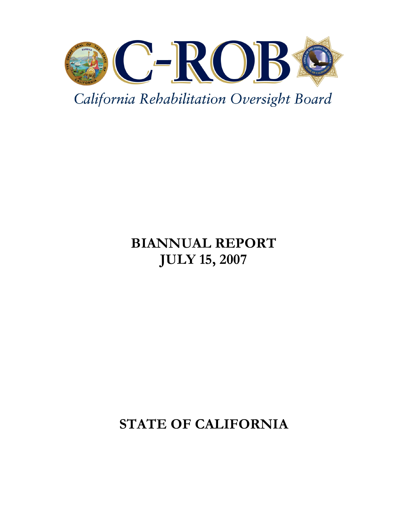

California Rehabilitation Oversight Board

# BIANNUAL REPORT JULY 15, 2007

# STATE OF CALIFORNIA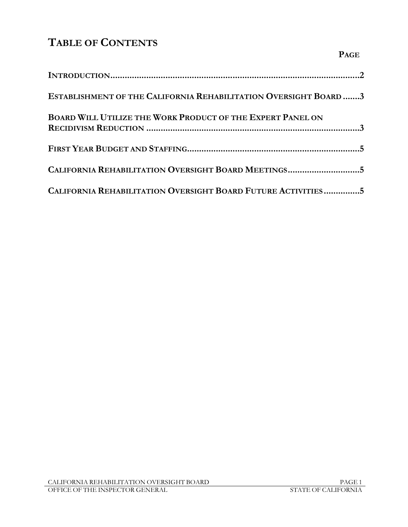# TABLE OF CONTENTS

| ESTABLISHMENT OF THE CALIFORNIA REHABILITATION OVERSIGHT BOARD3   |
|-------------------------------------------------------------------|
| <b>BOARD WILL UTILIZE THE WORK PRODUCT OF THE EXPERT PANEL ON</b> |
|                                                                   |
| CALIFORNIA REHABILITATION OVERSIGHT BOARD MEETINGS5               |
| CALIFORNIA REHABILITATION OVERSIGHT BOARD FUTURE ACTIVITIES5      |

PAGE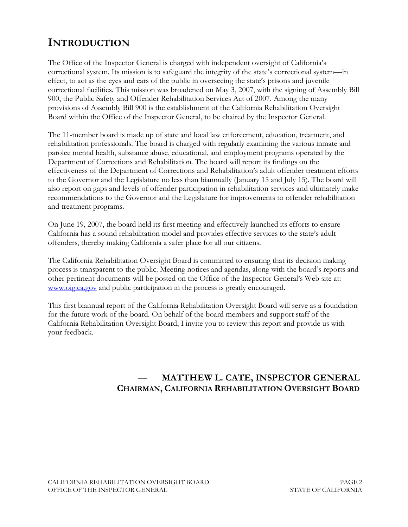## INTRODUCTION

The Office of the Inspector General is charged with independent oversight of California's correctional system. Its mission is to safeguard the integrity of the state's correctional system—in effect, to act as the eyes and ears of the public in overseeing the state's prisons and juvenile correctional facilities. This mission was broadened on May 3, 2007, with the signing of Assembly Bill 900, the Public Safety and Offender Rehabilitation Services Act of 2007. Among the many provisions of Assembly Bill 900 is the establishment of the California Rehabilitation Oversight Board within the Office of the Inspector General, to be chaired by the Inspector General.

The 11-member board is made up of state and local law enforcement, education, treatment, and rehabilitation professionals. The board is charged with regularly examining the various inmate and parolee mental health, substance abuse, educational, and employment programs operated by the Department of Corrections and Rehabilitation. The board will report its findings on the effectiveness of the Department of Corrections and Rehabilitation's adult offender treatment efforts to the Governor and the Legislature no less than biannually (January 15 and July 15). The board will also report on gaps and levels of offender participation in rehabilitation services and ultimately make recommendations to the Governor and the Legislature for improvements to offender rehabilitation and treatment programs.

On June 19, 2007, the board held its first meeting and effectively launched its efforts to ensure California has a sound rehabilitation model and provides effective services to the state's adult offenders, thereby making California a safer place for all our citizens.

The California Rehabilitation Oversight Board is committed to ensuring that its decision making process is transparent to the public. Meeting notices and agendas, along with the board's reports and other pertinent documents will be posted on the Office of the Inspector General's Web site at: www.oig.ca.gov and public participation in the process is greatly encouraged.

This first biannual report of the California Rehabilitation Oversight Board will serve as a foundation for the future work of the board. On behalf of the board members and support staff of the California Rehabilitation Oversight Board, I invite you to review this report and provide us with your feedback.

## — MATTHEW L. CATE, INSPECTOR GENERAL CHAIRMAN, CALIFORNIA REHABILITATION OVERSIGHT BOARD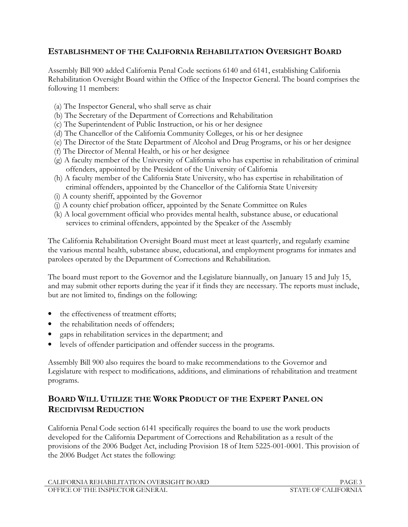#### ESTABLISHMENT OF THE CALIFORNIA REHABILITATION OVERSIGHT BOARD

Assembly Bill 900 added California Penal Code sections 6140 and 6141, establishing California Rehabilitation Oversight Board within the Office of the Inspector General. The board comprises the following 11 members:

- (a) The Inspector General, who shall serve as chair
- (b) The Secretary of the Department of Corrections and Rehabilitation
- (c) The Superintendent of Public Instruction, or his or her designee
- (d) The Chancellor of the California Community Colleges, or his or her designee
- (e) The Director of the State Department of Alcohol and Drug Programs, or his or her designee
- (f) The Director of Mental Health, or his or her designee
- (g) A faculty member of the University of California who has expertise in rehabilitation of criminal offenders, appointed by the President of the University of California
- (h) A faculty member of the California State University, who has expertise in rehabilitation of criminal offenders, appointed by the Chancellor of the California State University
- (i) A county sheriff, appointed by the Governor
- (j) A county chief probation officer, appointed by the Senate Committee on Rules
- (k) A local government official who provides mental health, substance abuse, or educational services to criminal offenders, appointed by the Speaker of the Assembly

The California Rehabilitation Oversight Board must meet at least quarterly, and regularly examine the various mental health, substance abuse, educational, and employment programs for inmates and parolees operated by the Department of Corrections and Rehabilitation.

The board must report to the Governor and the Legislature biannually, on January 15 and July 15, and may submit other reports during the year if it finds they are necessary. The reports must include, but are not limited to, findings on the following:

- the effectiveness of treatment efforts;
- the rehabilitation needs of offenders;
- gaps in rehabilitation services in the department; and
- levels of offender participation and offender success in the programs.

Assembly Bill 900 also requires the board to make recommendations to the Governor and Legislature with respect to modifications, additions, and eliminations of rehabilitation and treatment programs.

#### BOARD WILL UTILIZE THE WORK PRODUCT OF THE EXPERT PANEL ON RECIDIVISM REDUCTION

California Penal Code section 6141 specifically requires the board to use the work products developed for the California Department of Corrections and Rehabilitation as a result of the provisions of the 2006 Budget Act, including Provision 18 of Item 5225-001-0001. This provision of the 2006 Budget Act states the following: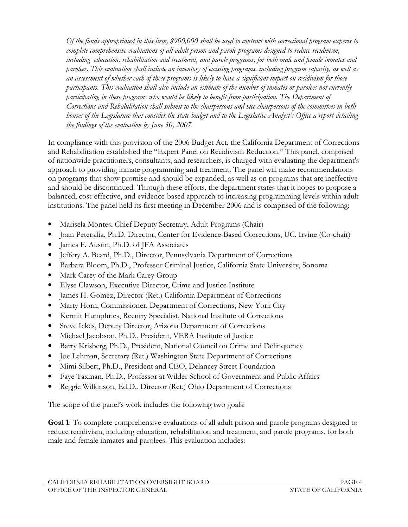Of the funds appropriated in this item, \$900,000 shall be used to contract with correctional program experts to complete comprehensive evaluations of all adult prison and parole programs designed to reduce recidivism, including education, rehabilitation and treatment, and parole programs, for both male and female inmates and parolees. This evaluation shall include an inventory of existing programs, including program capacity, as well as an assessment of whether each of these programs is likely to have a significant impact on recidivism for those participants. This evaluation shall also include an estimate of the number of inmates or parolees not currently participating in these programs who would be likely to benefit from participation. The Department of Corrections and Rehabilitation shall submit to the chairpersons and vice chairpersons of the committees in both houses of the Legislature that consider the state budget and to the Legislative Analyst's Office a report detailing the findings of the evaluation by June 30, 2007.

In compliance with this provision of the 2006 Budget Act, the California Department of Corrections and Rehabilitation established the "Expert Panel on Recidivism Reduction." This panel, comprised of nationwide practitioners, consultants, and researchers, is charged with evaluating the department's approach to providing inmate programming and treatment. The panel will make recommendations on programs that show promise and should be expanded, as well as on programs that are ineffective and should be discontinued. Through these efforts, the department states that it hopes to propose a balanced, cost-effective, and evidence-based approach to increasing programming levels within adult institutions. The panel held its first meeting in December 2006 and is comprised of the following:

- Marisela Montes, Chief Deputy Secretary, Adult Programs (Chair)
- Joan Petersilia, Ph.D. Director, Center for Evidence-Based Corrections, UC, Irvine (Co-chair)
- James F. Austin, Ph.D. of JFA Associates
- Jeffery A. Beard, Ph.D., Director, Pennsylvania Department of Corrections
- Barbara Bloom, Ph.D., Professor Criminal Justice, California State University, Sonoma
- Mark Carey of the Mark Carey Group
- Elyse Clawson, Executive Director, Crime and Justice Institute
- James H. Gomez, Director (Ret.) California Department of Corrections
- Marty Horn, Commissioner, Department of Corrections, New York City
- Kermit Humphries, Reentry Specialist, National Institute of Corrections
- Steve Ickes, Deputy Director, Arizona Department of Corrections
- Michael Jacobson, Ph.D., President, VERA Institute of Justice
- Barry Krisberg, Ph.D., President, National Council on Crime and Delinquency
- Joe Lehman, Secretary (Ret.) Washington State Department of Corrections
- Mimi Silbert, Ph.D., President and CEO, Delancey Street Foundation
- Faye Taxman, Ph.D., Professor at Wilder School of Government and Public Affairs
- Reggie Wilkinson, Ed.D., Director (Ret.) Ohio Department of Corrections

The scope of the panel's work includes the following two goals:

Goal 1: To complete comprehensive evaluations of all adult prison and parole programs designed to reduce recidivism, including education, rehabilitation and treatment, and parole programs, for both male and female inmates and parolees. This evaluation includes: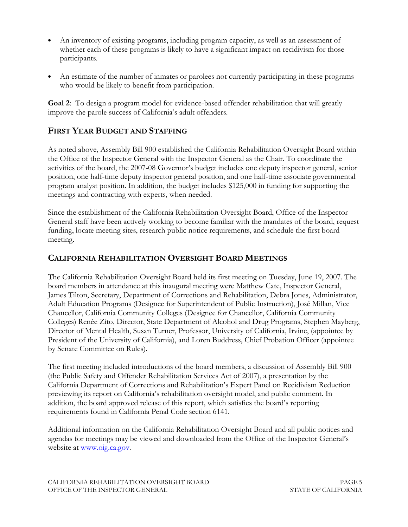- An inventory of existing programs, including program capacity, as well as an assessment of whether each of these programs is likely to have a significant impact on recidivism for those participants.
- An estimate of the number of inmates or parolees not currently participating in these programs who would be likely to benefit from participation.

Goal 2: To design a program model for evidence-based offender rehabilitation that will greatly improve the parole success of California's adult offenders.

### FIRST YEAR BUDGET AND STAFFING

As noted above, Assembly Bill 900 established the California Rehabilitation Oversight Board within the Office of the Inspector General with the Inspector General as the Chair. To coordinate the activities of the board, the 2007-08 Governor's budget includes one deputy inspector general, senior position, one half-time deputy inspector general position, and one half-time associate governmental program analyst position. In addition, the budget includes \$125,000 in funding for supporting the meetings and contracting with experts, when needed.

Since the establishment of the California Rehabilitation Oversight Board, Office of the Inspector General staff have been actively working to become familiar with the mandates of the board, request funding, locate meeting sites, research public notice requirements, and schedule the first board meeting.

#### CALIFORNIA REHABILITATION OVERSIGHT BOARD MEETINGS

The California Rehabilitation Oversight Board held its first meeting on Tuesday, June 19, 2007. The board members in attendance at this inaugural meeting were Matthew Cate, Inspector General, James Tilton, Secretary, Department of Corrections and Rehabilitation, Debra Jones, Administrator, Adult Education Programs (Designee for Superintendent of Public Instruction), José Millan, Vice Chancellor, California Community Colleges (Designee for Chancellor, California Community Colleges) Renée Zito, Director, State Department of Alcohol and Drug Programs, Stephen Mayberg, Director of Mental Health, Susan Turner, Professor, University of California, Irvine, (appointee by President of the University of California), and Loren Buddress, Chief Probation Officer (appointee by Senate Committee on Rules).

The first meeting included introductions of the board members, a discussion of Assembly Bill 900 (the Public Safety and Offender Rehabilitation Services Act of 2007), a presentation by the California Department of Corrections and Rehabilitation's Expert Panel on Recidivism Reduction previewing its report on California's rehabilitation oversight model, and public comment. In addition, the board approved release of this report, which satisfies the board's reporting requirements found in California Penal Code section 6141.

Additional information on the California Rehabilitation Oversight Board and all public notices and agendas for meetings may be viewed and downloaded from the Office of the Inspector General's website at www.oig.ca.gov.